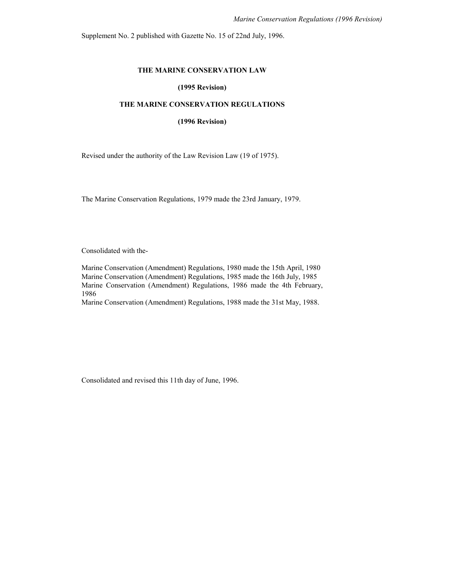Supplement No. 2 published with Gazette No. 15 of 22nd July, 1996.

### THE MARINE CONSERVATION LAW

#### (1995 Revision)

### THE MARINE CONSERVATION REGULATIONS

(1996 Revision)

Revised under the authority of the Law Revision Law (19 of 1975).

The Marine Conservation Regulations, 1979 made the 23rd January, 1979.

Consolidated with the-

Marine Conservation (Amendment) Regulations, 1980 made the 15th April, 1980 Marine Conservation (Amendment) Regulations, 1985 made the 16th July, 1985 Marine Conservation (Amendment) Regulations, 1986 made the 4th February, 1986 Marine Conservation (Amendment) Regulations, 1988 made the 31st May, 1988.

Consolidated and revised this 11th day of June, 1996.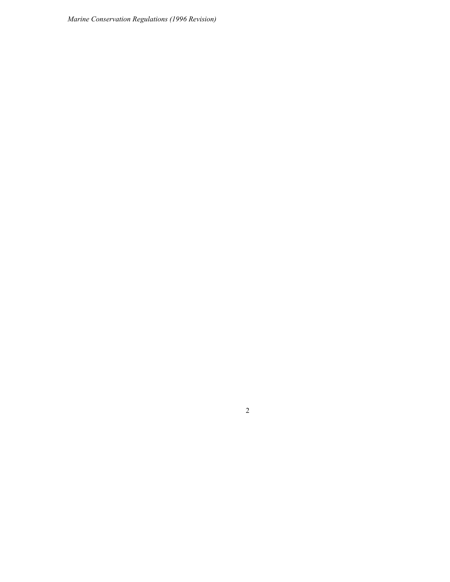$\overline{2}$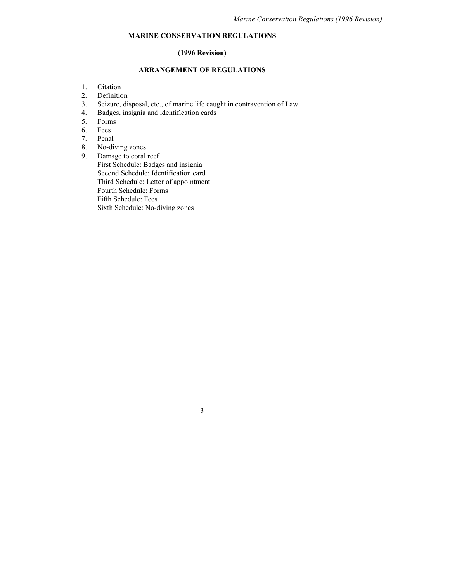### **MARINE CONSERVATION REGULATIONS**

# (1996 Revision)

# **ARRANGEMENT OF REGULATIONS**

- Citation  $1.$
- 2. Definition
- $3.$ Seizure, disposal, etc., of marine life caught in contravention of Law
- $4.$ Badges, insignia and identification cards
- 5. Forms
- 6. Fees
- $7.$ Penal
- No-diving zones 8.
- 9. Damage to coral reef First Schedule: Badges and insignia Second Schedule: Identification card Third Schedule: Letter of appointment Fourth Schedule: Forms Fifth Schedule: Fees Sixth Schedule: No-diving zones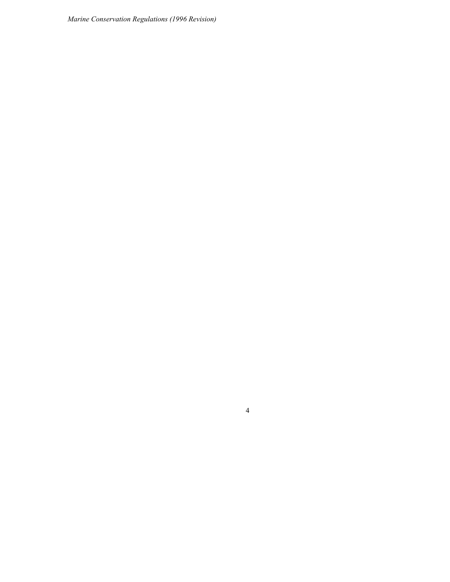$\overline{4}$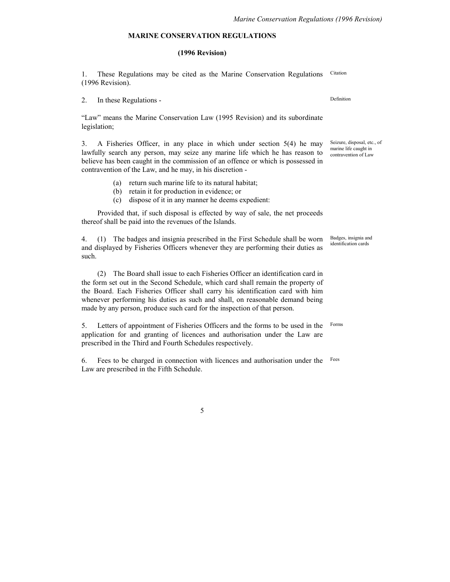### **MARINE CONSERVATION REGULATIONS**

#### (1996 Revision)

Citation These Regulations may be cited as the Marine Conservation Regulations  $1_{\cdot}$ (1996 Revision).

 $2.$ In these Regulations -

"Law" means the Marine Conservation Law (1995 Revision) and its subordinate legislation;

A Fisheries Officer, in any place in which under section 5(4) he may  $3<sub>1</sub>$ lawfully search any person, may seize any marine life which he has reason to believe has been caught in the commission of an offence or which is possessed in contravention of the Law, and he may, in his discretion -

- (a) return such marine life to its natural habitat;
- (b) retain it for production in evidence; or
- (c) dispose of it in any manner he deems expedient:

Provided that, if such disposal is effected by way of sale, the net proceeds thereof shall be paid into the revenues of the Islands.

(1) The badges and insignia prescribed in the First Schedule shall be worn 4. and displayed by Fisheries Officers whenever they are performing their duties as such.

(2) The Board shall issue to each Fisheries Officer an identification card in the form set out in the Second Schedule, which card shall remain the property of the Board. Each Fisheries Officer shall carry his identification card with him whenever performing his duties as such and shall, on reasonable demand being made by any person, produce such card for the inspection of that person.

Letters of appointment of Fisheries Officers and the forms to be used in the  $5<sub>1</sub>$ application for and granting of licences and authorisation under the Law are prescribed in the Third and Fourth Schedules respectively.

6. Fees to be charged in connection with licences and authorisation under the Fees Law are prescribed in the Fifth Schedule.

Definition

Seizure, disposal, etc., of marine life caught in contravention of Law

Badges, insignia and identification cards

Forms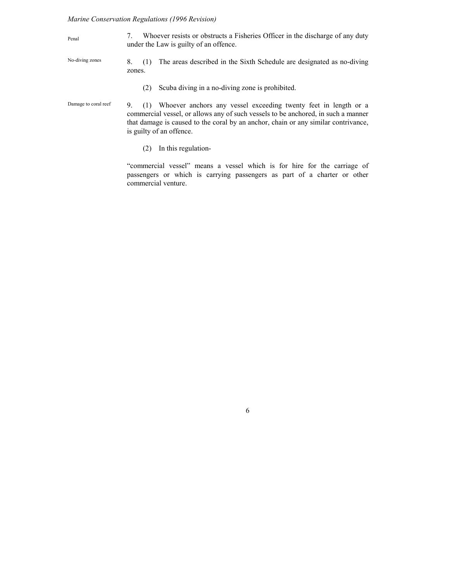Penal

7. Whoever resists or obstructs a Fisheries Officer in the discharge of any duty

under the Law is guilty of an offence.

- No-diving zones 8. (1) The areas described in the Sixth Schedule are designated as no-diving zones.
	- (2) Scuba diving in a no-diving zone is prohibited.

Damage to coral reef 9. (1) Whoever anchors any vessel exceeding twenty feet in length or a commercial vessel, or allows any of such vessels to be anchored, in such a manner that damage is caused to the coral by an anchor, chain or any similar contrivance, is guilty of an offence.

(2) In this regulation-

"commercial vessel" means a vessel which is for hire for the carriage of passengers or which is carrying passengers as part of a charter or other commercial venture.

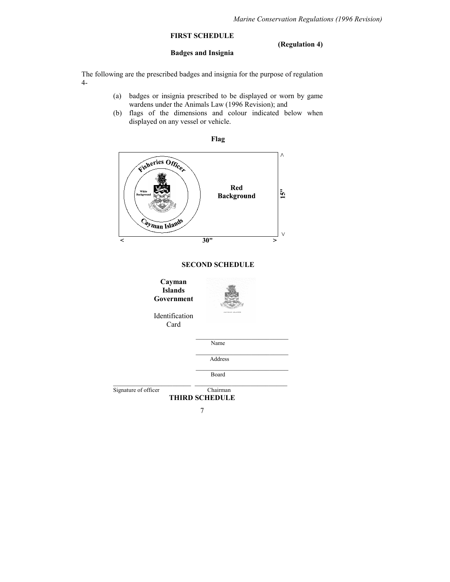### **FIRST SCHEDULE**

# (Regulation 4)

### **Badges and Insignia**

The following are the prescribed badges and insignia for the purpose of regulation  $4-$ 

- (a) badges or insignia prescribed to be displayed or worn by game wardens under the Animals Law (1996 Revision); and
- (b) flags of the dimensions and colour indicated below when displayed on any vessel or vehicle.

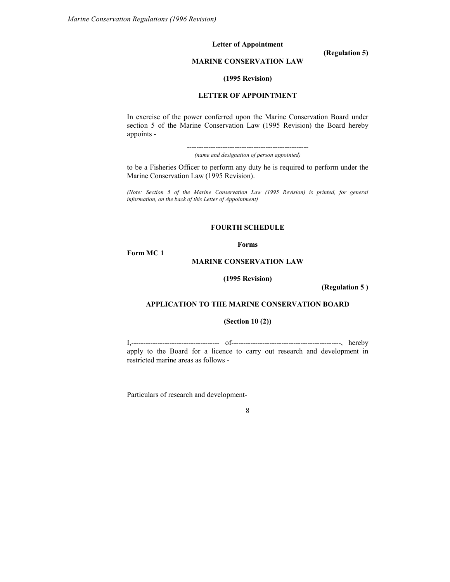### **Letter of Appointment**

(Regulation 5)

# **MARINE CONSERVATION LAW**

### (1995 Revision)

### **LETTER OF APPOINTMENT**

In exercise of the power conferred upon the Marine Conservation Board under section 5 of the Marine Conservation Law (1995 Revision) the Board hereby appoints -

> (name and designation of person appointed)

to be a Fisheries Officer to perform any duty he is required to perform under the Marine Conservation Law (1995 Revision).

(Note: Section 5 of the Marine Conservation Law (1995 Revision) is printed, for general information, on the back of this Letter of Appointment)

#### **FOURTH SCHEDULE**

Forms

Form MC<sub>1</sub>

#### **MARINE CONSERVATION LAW**

#### (1995 Revision)

(Regulation 5)

### APPLICATION TO THE MARINE CONSERVATION BOARD

### (Section 10 $(2)$ )

apply to the Board for a licence to carry out research and development in restricted marine areas as follows -

Particulars of research and development-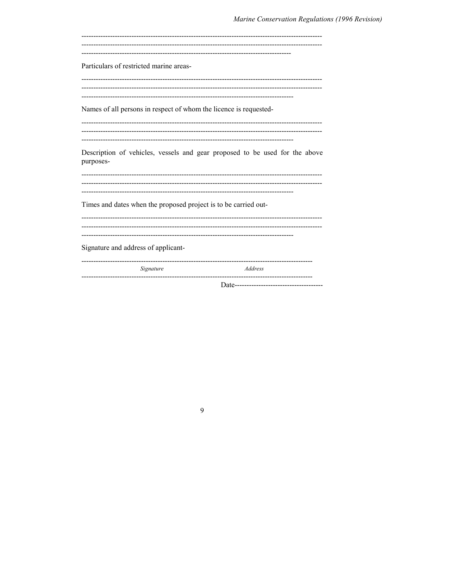| Particulars of restricted marine areas-                                                  |  |
|------------------------------------------------------------------------------------------|--|
| Names of all persons in respect of whom the licence is requested-                        |  |
| Description of vehicles, vessels and gear proposed to be used for the above<br>purposes- |  |
| Times and dates when the proposed project is to be carried out-                          |  |
| Signature and address of applicant-                                                      |  |
| Address<br>Signature                                                                     |  |

 $\overline{9}$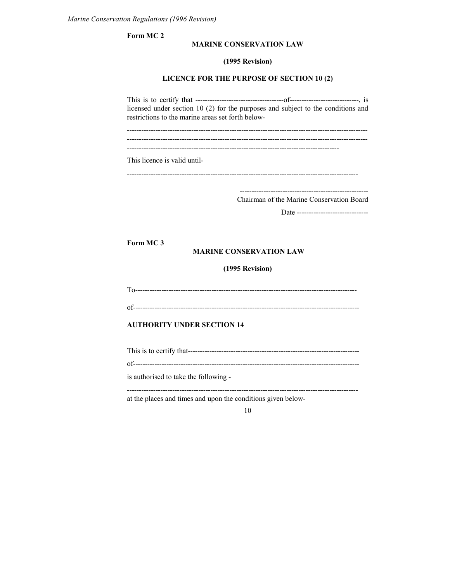# Form MC<sub>2</sub>

### **MARINE CONSERVATION LAW**

#### (1995 Revision)

### LICENCE FOR THE PURPOSE OF SECTION 10 (2)

licensed under section 10 (2) for the purposes and subject to the conditions and restrictions to the marine areas set forth below-

This licence is valid until-

Chairman of the Marine Conservation Board

Date --------------------------------

### Form MC<sub>3</sub>

### **MARINE CONSERVATION LAW**

# (1995 Revision)

### **AUTHORITY UNDER SECTION 14**

is authorised to take the following -

at the places and times and upon the conditions given below-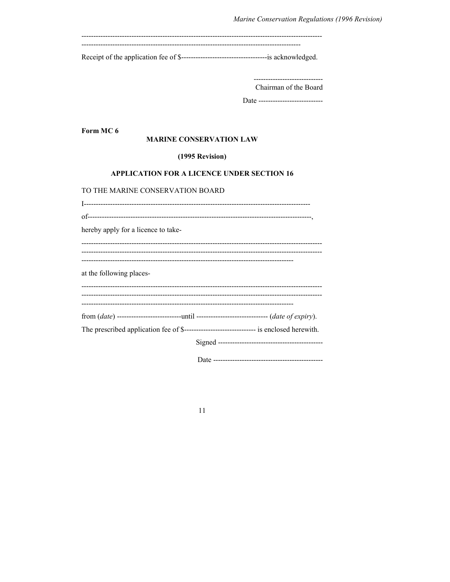\_\_\_\_\_\_\_\_\_\_\_\_\_\_\_\_\_\_\_\_\_\_\_\_\_\_\_\_\_\_ Chairman of the Board

Date ----------------------------

# Form MC 6

# **MARINE CONSERVATION LAW**

# (1995 Revision)

# APPLICATION FOR A LICENCE UNDER SECTION 16

### TO THE MARINE CONSERVATION BOARD

| hereby apply for a licence to take- |                                                                                             |
|-------------------------------------|---------------------------------------------------------------------------------------------|
|                                     |                                                                                             |
|                                     |                                                                                             |
| at the following places-            |                                                                                             |
|                                     |                                                                                             |
|                                     |                                                                                             |
|                                     |                                                                                             |
|                                     | The prescribed application fee of \$--------------------------------- is enclosed herewith. |
|                                     |                                                                                             |
|                                     |                                                                                             |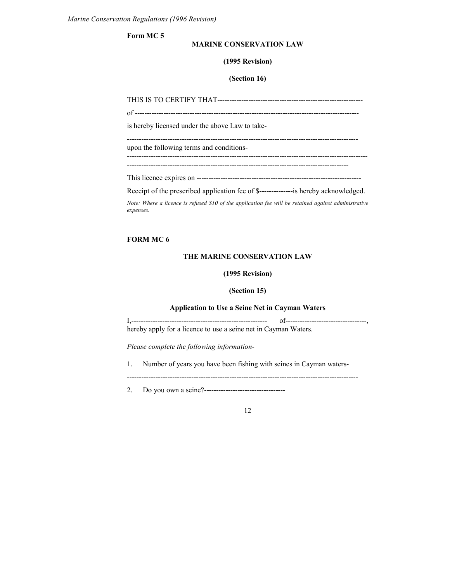Form MC<sub>5</sub>

### **MARINE CONSERVATION LAW**

### (1995 Revision)

### (Section 16)

is hereby licensed under the above Law to take-upon the following terms and conditions-Receipt of the prescribed application fee of \$----------------- is hereby acknowledged.

Note: Where a licence is refused \$10 of the application fee will be retained against administrative expenses.

# **FORM MC 6**

# THE MARINE CONSERVATION LAW

#### (1995 Revision)

## (Section 15)

### Application to Use a Seine Net in Cayman Waters

hereby apply for a licence to use a seine net in Cayman Waters.

Please complete the following information-

Number of years you have been fishing with seines in Cayman waters-1.

 $2<sub>1</sub>$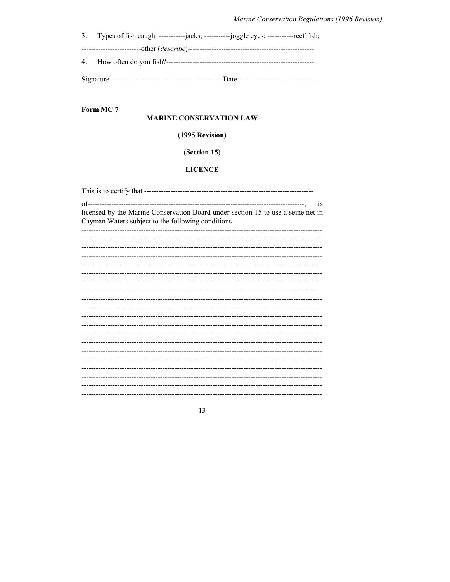| 3. Types of fish caught ------------jacks; -----------joggle eyes; -----------reef fish; |  |
|------------------------------------------------------------------------------------------|--|
|                                                                                          |  |
|                                                                                          |  |
|                                                                                          |  |

# Form MC<sub>7</sub>

#### **MARINE CONSERVATION LAW**

### (1995 Revision)

#### (Section 15)

# **LICENCE**

is licensed by the Marine Conservation Board under section 15 to use a seine net in Cayman Waters subject to the following conditions-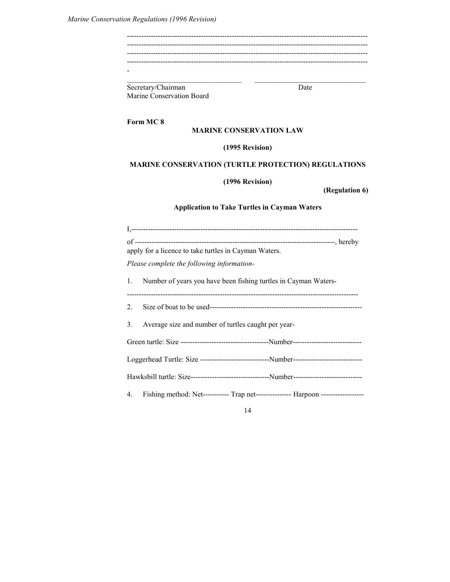| Secretary/Chairman<br>Marine Conservation Board |                                                                                                     |                                                                 | Date                                                                                        |
|-------------------------------------------------|-----------------------------------------------------------------------------------------------------|-----------------------------------------------------------------|---------------------------------------------------------------------------------------------|
| Form MC 8                                       |                                                                                                     | <b>MARINE CONSERVATION LAW</b>                                  |                                                                                             |
|                                                 |                                                                                                     | (1995 Revision)                                                 |                                                                                             |
|                                                 |                                                                                                     |                                                                 | MARINE CONSERVATION (TURTLE PROTECTION) REGULATIONS                                         |
|                                                 |                                                                                                     | (1996 Revision)                                                 | (Regulation 6)                                                                              |
|                                                 |                                                                                                     | <b>Application to Take Turtles in Cayman Waters</b>             |                                                                                             |
|                                                 |                                                                                                     |                                                                 |                                                                                             |
|                                                 |                                                                                                     |                                                                 |                                                                                             |
|                                                 |                                                                                                     |                                                                 |                                                                                             |
|                                                 | apply for a licence to take turtles in Cayman Waters.<br>Please complete the following information- |                                                                 |                                                                                             |
| $\mathbf{1}$ .                                  |                                                                                                     | Number of years you have been fishing turtles in Cayman Waters- |                                                                                             |
| $\overline{2}$ .                                |                                                                                                     |                                                                 |                                                                                             |
| 3.                                              |                                                                                                     | Average size and number of turtles caught per year-             |                                                                                             |
|                                                 |                                                                                                     |                                                                 |                                                                                             |
|                                                 |                                                                                                     |                                                                 | Loggerhead Turtle: Size -------------------------------Number-----------------------------  |
|                                                 |                                                                                                     |                                                                 | Hawksbill turtle: Size----------------------------------Number----------------------------- |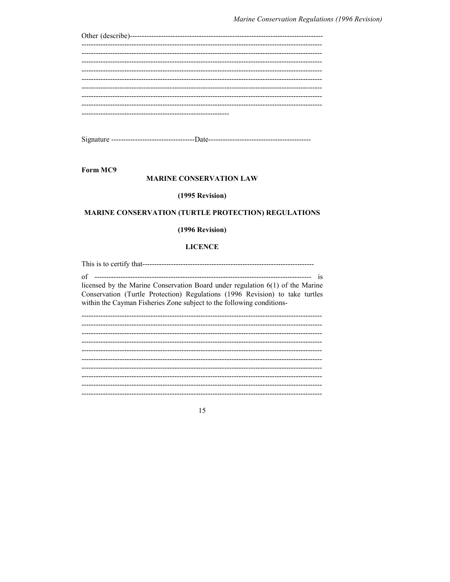# Form MC9

#### **MARINE CONSERVATION LAW**

### (1995 Revision)

### MARINE CONSERVATION (TURTLE PROTECTION) REGULATIONS

### (1996 Revision)

### **LICENCE**

licensed by the Marine Conservation Board under regulation 6(1) of the Marine Conservation (Turtle Protection) Regulations (1996 Revision) to take turtles within the Cayman Fisheries Zone subject to the following conditions-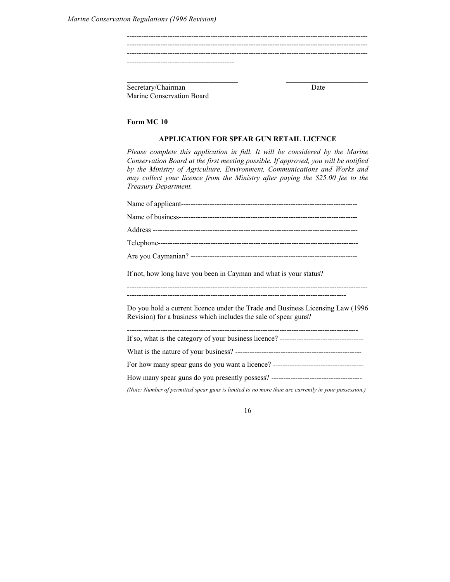| Secretary/Chairman<br>Marine Conservation Board | Date |
|-------------------------------------------------|------|

### Form MC 10

# **APPLICATION FOR SPEAR GUN RETAIL LICENCE**

Please complete this application in full. It will be considered by the Marine Conservation Board at the first meeting possible. If approved, you will be notified by the Ministry of Agriculture, Environment, Communications and Works and may collect your licence from the Ministry after paying the \$25.00 fee to the Treasury Department.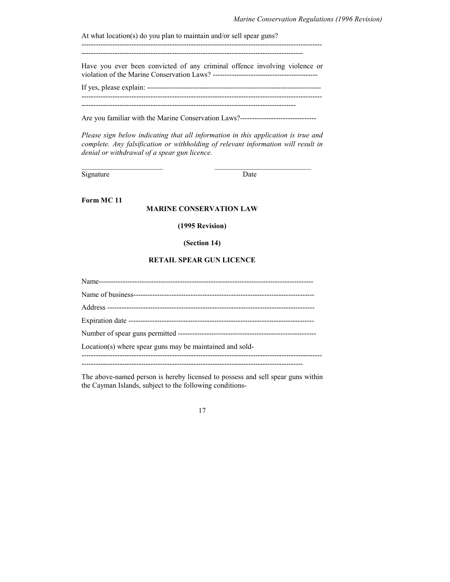At what location(s) do you plan to maintain and/or sell spear guns?

Have you ever been convicted of any criminal offence involving violence or 

Are you familiar with the Marine Conservation Laws?-------------------------------

Please sign below indicating that all information in this application is true and complete. Any falsification or withholding of relevant information will result in denial or withdrawal of a spear gun licence.

Signature

Date

### Form MC<sub>11</sub>

# **MARINE CONSERVATION LAW**

### (1995 Revision)

#### (Section 14)

### **RETAIL SPEAR GUN LICENCE**

| Location(s) where spear guns may be maintained and sold- |
|----------------------------------------------------------|
|                                                          |

The above-named person is hereby licensed to possess and sell spear guns within the Cayman Islands, subject to the following conditions-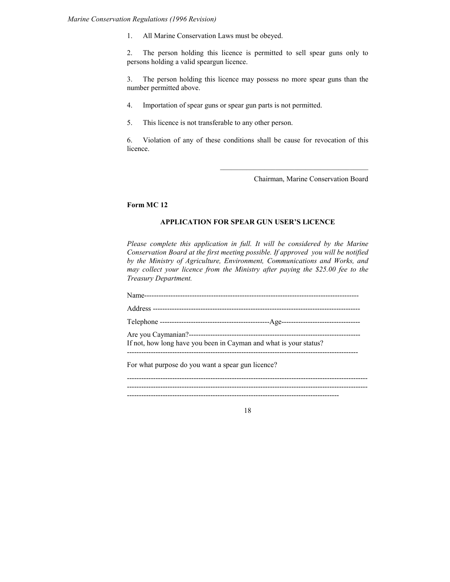1. All Marine Conservation Laws must be obeyed.

The person holding this licence is permitted to sell spear guns only to  $2.$ persons holding a valid speargun licence.

The person holding this licence may possess no more spear guns than the  $3.$ number permitted above.

- $4.$ Importation of spear guns or spear gun parts is not permitted.
- $5<sub>1</sub>$ This licence is not transferable to any other person.

6. Violation of any of these conditions shall be cause for revocation of this licence.

Chairman, Marine Conservation Board

### Form MC<sub>12</sub>

# APPLICATION FOR SPEAR GUN USER'S LICENCE

Please complete this application in full. It will be considered by the Marine Conservation Board at the first meeting possible. If approved you will be notified by the Ministry of Agriculture, Environment, Communications and Works, and may collect your licence from the Ministry after paying the \$25.00 fee to the Treasury Department.

| If not, how long have you been in Cayman and what is your status? |
|-------------------------------------------------------------------|
| For what purpose do you want a spear gun licence?                 |
|                                                                   |
|                                                                   |
|                                                                   |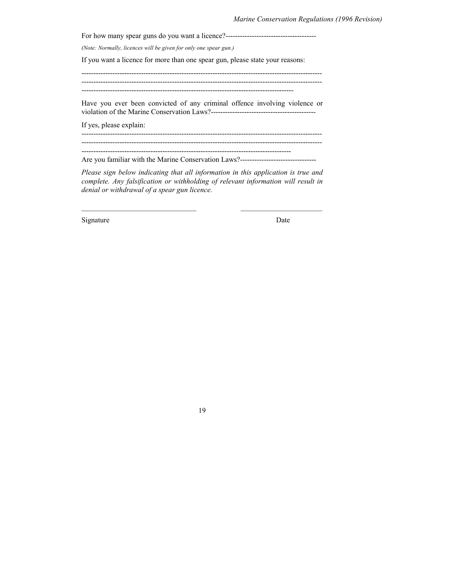(Note: Normally, licences will be given for only one spear gun.)

If you want a licence for more than one spear gun, please state your reasons:

Have you ever been convicted of any criminal offence involving violence or 

If yes, please explain:

Are you familiar with the Marine Conservation Laws?-------------------------------

Please sign below indicating that all information in this application is true and complete. Any falsification or withholding of relevant information will result in denial or withdrawal of a spear gun licence.

Signature

Date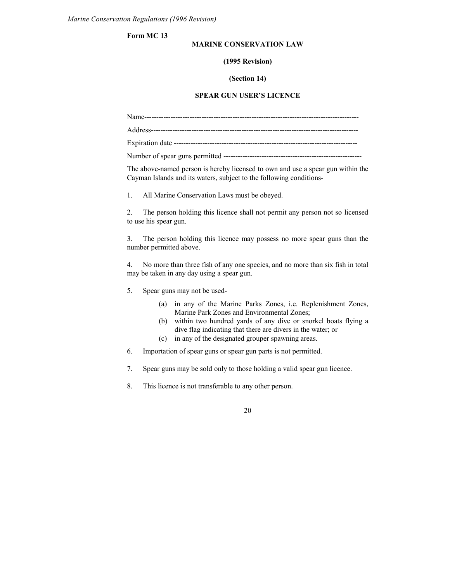Form MC<sub>13</sub>

### **MARINE CONSERVATION LAW**

#### (1995 Revision)

#### (Section 14)

# **SPEAR GUN USER'S LICENCE**

The above-named person is hereby licensed to own and use a spear gun within the Cayman Islands and its waters, subject to the following conditions-

 $1.$ All Marine Conservation Laws must be obeyed.

The person holding this licence shall not permit any person not so licensed 2. to use his spear gun.

The person holding this licence may possess no more spear guns than the  $3.$ number permitted above.

No more than three fish of any one species, and no more than six fish in total 4. may be taken in any day using a spear gun.

- 5. Spear guns may not be used-
	- (a) in any of the Marine Parks Zones, i.e. Replenishment Zones, Marine Park Zones and Environmental Zones;
	- (b) within two hundred yards of any dive or snorkel boats flying a dive flag indicating that there are divers in the water; or
	- (c) in any of the designated grouper spawning areas.
- 6. Importation of spear guns or spear gun parts is not permitted.
- 7. Spear guns may be sold only to those holding a valid spear gun licence.
- 8. This licence is not transferable to any other person.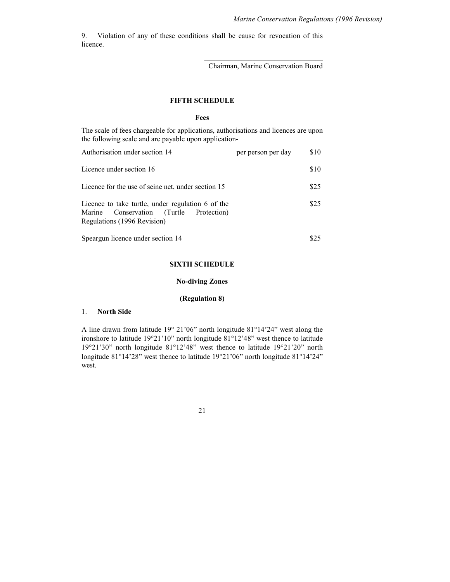9. Violation of any of these conditions shall be cause for revocation of this licence.

Chairman, Marine Conservation Board

### **FIFTH SCHEDULE**

### Fees

The scale of fees chargeable for applications, authorisations and licences are upon the following scale and are payable upon application-

| Authorisation under section 14                                                                                              | per person per day | \$10 |
|-----------------------------------------------------------------------------------------------------------------------------|--------------------|------|
| Licence under section 16                                                                                                    |                    | \$10 |
| Licence for the use of seine net, under section 15                                                                          |                    | \$25 |
| Licence to take turtle, under regulation 6 of the<br>Marine Conservation (Turtle Protection)<br>Regulations (1996 Revision) |                    | \$25 |
| Speargun licence under section 14                                                                                           |                    | \$25 |

### **SIXTH SCHEDULE**

#### **No-diving Zones**

### (Regulation 8)

#### **North Side** 1.

A line drawn from latitude  $19^{\circ}$  21'06" north longitude 81°14'24" west along the ironshore to latitude 19°21'10" north longitude 81°12'48" west thence to latitude 19°21'30" north longitude 81°12'48" west thence to latitude 19°21'20" north longitude 81°14'28" west thence to latitude 19°21'06" north longitude 81°14'24" west.